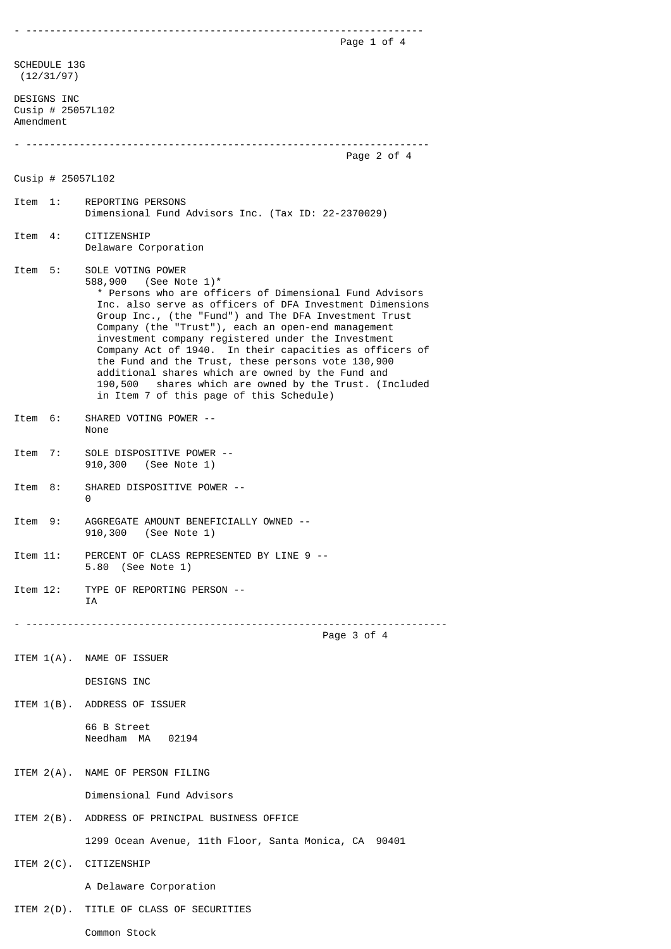- ------------------------------------------------------------------- Page 1 of 4 SCHEDULE 13G (12/31/97) DESIGNS INC Cusip # 25057L102 Amendment - -------------------------------------------------------------------- Page 2 of 4 Cusip # 25057L102 Item 1: REPORTING PERSONS Dimensional Fund Advisors Inc. (Tax ID: 22-2370029) Item 4: CITIZENSHIP Delaware Corporation Item 5: SOLE VOTING POWER 588,900 (See Note 1)\* \* Persons who are officers of Dimensional Fund Advisors Inc. also serve as officers of DFA Investment Dimensions Group Inc., (the "Fund") and The DFA Investment Trust Company (the "Trust"), each an open-end management investment company registered under the Investment Company Act of 1940. In their capacities as officers of the Fund and the Trust, these persons vote 130,900 additional shares which are owned by the Fund and 190,500 shares which are owned by the Trust. (Included in Item 7 of this page of this Schedule) Item 6: SHARED VOTING POWER -- None Item 7: SOLE DISPOSITIVE POWER -- 910,300 (See Note 1) Item 8: SHARED DISPOSITIVE POWER -- 0 Item 9: AGGREGATE AMOUNT BENEFICIALLY OWNED -- 910,300 (See Note 1) Item 11: PERCENT OF CLASS REPRESENTED BY LINE 9 -- 5.80 (See Note 1) Item 12: TYPE OF REPORTING PERSON -- IA - ----------------------------------------------------------------------- Page 3 of 4 ITEM 1(A). NAME OF ISSUER DESIGNS INC ITEM 1(B). ADDRESS OF ISSUER 66 B Street Needham MA 02194 ITEM 2(A). NAME OF PERSON FILING Dimensional Fund Advisors ITEM 2(B). ADDRESS OF PRINCIPAL BUSINESS OFFICE 1299 Ocean Avenue, 11th Floor, Santa Monica, CA 90401 ITEM 2(C). CITIZENSHIP A Delaware Corporation ITEM 2(D). TITLE OF CLASS OF SECURITIES

Common Stock